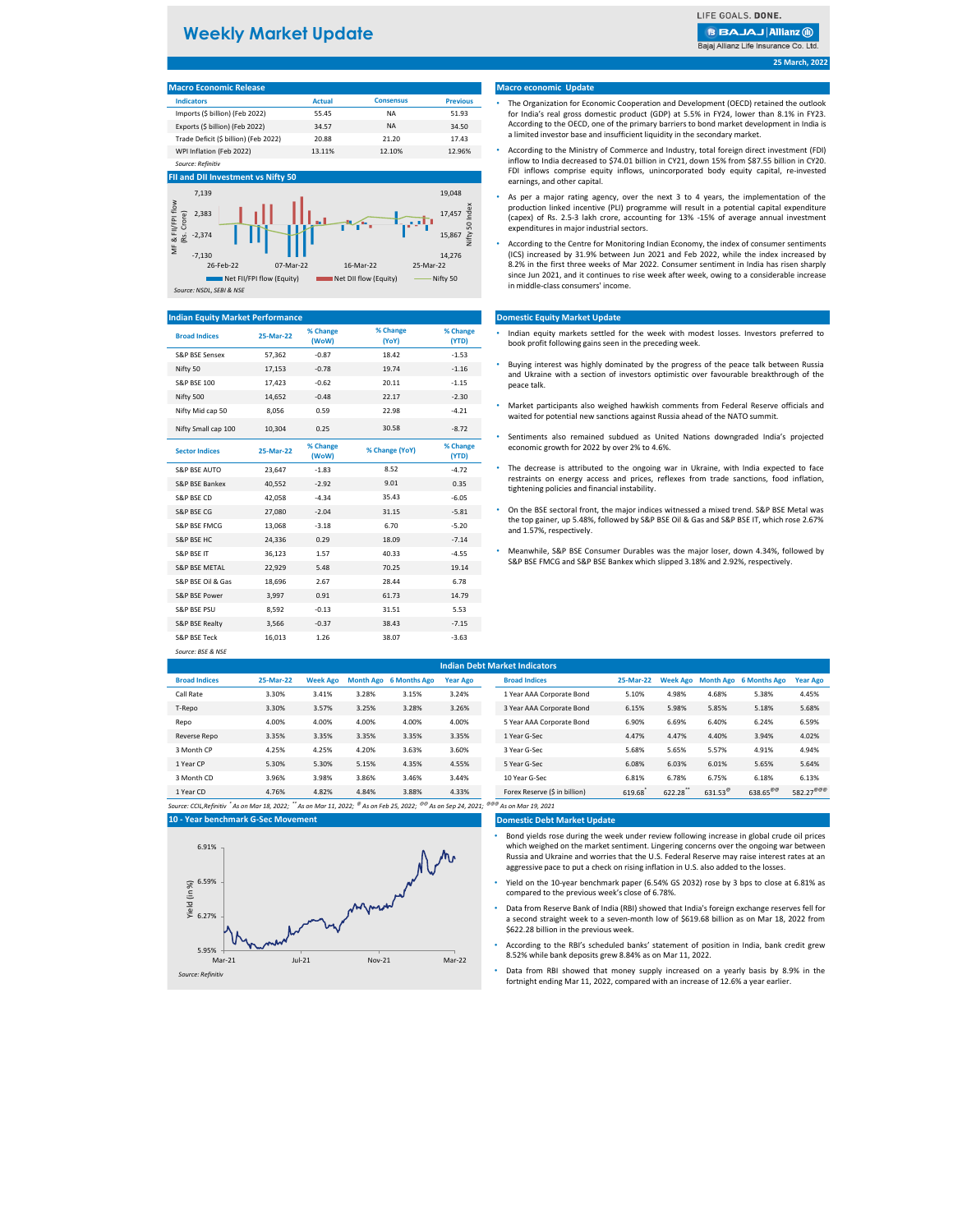| <b>Macro Economic Release</b>         |               |                  |                 |
|---------------------------------------|---------------|------------------|-----------------|
| <b>Indicators</b>                     | <b>Actual</b> | <b>Consensus</b> | <b>Previous</b> |
| Imports (\$ billion) (Feb 2022)       | 55.45         | ΝA               | 51.93           |
| Exports (\$ billion) (Feb 2022)       | 34.57         | <b>NA</b>        | 34.50           |
| Trade Deficit (\$ billion) (Feb 2022) | 20.88         | 21.20            | 17.43           |
| WPI Inflation (Feb 2022)              | 13.11%        | 12.10%           | 12.96%          |
| Source: Refinitiv                     |               |                  |                 |

| <b>Broad Indices</b>      | 25-Mar-22 | % Change<br>(WoW) | % Change<br>(YoY) | % Change<br>(YTD) |
|---------------------------|-----------|-------------------|-------------------|-------------------|
| S&P BSE Sensex            | 57,362    | $-0.87$           | 18.42             | $-1.53$           |
| Nifty 50                  | 17,153    | $-0.78$           | 19.74             | $-1.16$           |
| <b>S&amp;P BSE 100</b>    | 17,423    | $-0.62$           | 20.11             | $-1.15$           |
| Nifty 500                 | 14,652    | $-0.48$           | 22.17             | $-2.30$           |
| Nifty Mid cap 50          | 8,056     | 0.59              | 22.98             | $-4.21$           |
| Nifty Small cap 100       | 10,304    | 0.25              | 30.58             | $-8.72$           |
| <b>Sector Indices</b>     | 25-Mar-22 | % Change<br>(WoW) | % Change (YoY)    | % Change<br>(YTD) |
| <b>S&amp;P BSE AUTO</b>   | 23,647    | $-1.83$           | 8.52              | $-4.72$           |
| <b>S&amp;P BSE Bankex</b> | 40,552    | $-2.92$           | 9.01              | 0.35              |
| S&P BSE CD                | 42,058    | $-4.34$           | 35.43             | $-6.05$           |
| <b>S&amp;P BSE CG</b>     | 27,080    | $-2.04$           | 31.15             | $-5.81$           |
| <b>S&amp;P BSE FMCG</b>   | 13,068    | $-3.18$           | 6.70              | $-5.20$           |
| <b>S&amp;P BSE HC</b>     | 24,336    | 0.29              | 18.09             | $-7.14$           |
| <b>S&amp;P BSE IT</b>     | 36,123    | 1.57              | 40.33             | $-4.55$           |
| <b>S&amp;P BSE METAL</b>  | 22,929    | 5.48              | 70.25             | 19.14             |
| S&P BSE Oil & Gas         | 18,696    | 2.67              | 28.44             | 6.78              |
| S&P BSE Power             | 3,997     | 0.91              | 61.73             | 14.79             |
| <b>S&amp;P BSE PSU</b>    | 8,592     | $-0.13$           | 31.51             | 5.53              |
| S&P BSE Realty            | 3,566     | $-0.37$           | 38.43             | $-7.15$           |
| S&P BSE Teck              | 16,013    | 1.26              | 38.07             | $-3.63$           |
| Source: BSE & NSE         |           |                   |                   |                   |

| <b>Indian Debt Market Indicators</b> |           |                 |       |                        |                 |                           |           |       |       |                                 |                 |
|--------------------------------------|-----------|-----------------|-------|------------------------|-----------------|---------------------------|-----------|-------|-------|---------------------------------|-----------------|
| <b>Broad Indices</b>                 | 25-Mar-22 | <b>Week Ago</b> |       | Month Ago 6 Months Ago | <b>Year Ago</b> | <b>Broad Indices</b>      | 25-Mar-22 |       |       | Week Ago Month Ago 6 Months Ago | <b>Year Ago</b> |
| Call Rate                            | 3.30%     | 3.41%           | 3.28% | 3.15%                  | 3.24%           | 1 Year AAA Corporate Bond | 5.10%     | 4.98% | 4.68% | 5.38%                           | 4.45%           |
| T-Repo                               | 3.30%     | 3.57%           | 3.25% | 3.28%                  | 3.26%           | 3 Year AAA Corporate Bond | 6.15%     | 5.98% | 5.85% | 5.18%                           | 5.68%           |
| Repo                                 | 4.00%     | 4.00%           | 4.00% | 4.00%                  | 4.00%           | 5 Year AAA Corporate Bond | 6.90%     | 6.69% | 6.40% | 6.24%                           | 6.59%           |
| Reverse Repo                         | 3.35%     | 3.35%           | 3.35% | 3.35%                  | 3.35%           | 1 Year G-Sec              | 4.47%     | 4.47% | 4.40% | 3.94%                           | 4.02%           |
| 3 Month CP                           | 4.25%     | 4.25%           | 4.20% | 3.63%                  | 3.60%           | 3 Year G-Sec              | 5.68%     | 5.65% | 5.57% | 4.91%                           | 4.94%           |
| 1 Year CP                            | 5.30%     | 5.30%           | 5.15% | 4.35%                  | 4.55%           | 5 Year G-Sec              | 6.08%     | 6.03% | 6.01% | 5.65%                           | 5.64%           |

| 3 Month CD | 3.96% | 3.98% | 3.86% | 3.46% | 3.44% | 10 Year G-Sec                 | 6.81%  | 6.78%  | 6.75%             | 5.18%                      | 6.13%                 |
|------------|-------|-------|-------|-------|-------|-------------------------------|--------|--------|-------------------|----------------------------|-----------------------|
| 1 Year CD  | 4.76% | 1.82% | 4.84% | 3.88% | 4.33% | Forex Reserve (\$ in billion) | 619.68 | 622.28 | $631.53^{\omega}$ | $638.65^{\circ\circ\circ}$ | 582.27 <sup>@@@</sup> |

#### **Domestic Debt Market Update**

**25 March, 2022**

#### **Macro economic Update**

#### **Domestic Equity Market Update**

#### **Indian Equity Market Performance**

#### **FII and DII Investment vs Nifty 50**

- Indian equity markets settled for the week with modest losses. Investors preferred to book profit following gains seen in the preceding week.
- Buying interest was highly dominated by the progress of the peace talk between Russia and Ukraine with a section of investors optimistic over favourable breakthrough of the peace talk.
- Market participants also weighed hawkish comments from Federal Reserve officials and waited for potential new sanctions against Russia ahead of the NATO summit.
- Sentiments also remained subdued as United Nations downgraded India's projected economic growth for 2022 by over 2% to 4.6%.
- The decrease is attributed to the ongoing war in Ukraine, with India expected to face restraints on energy access and prices, reflexes from trade sanctions, food inflation, tightening policies and financial instability.
- S&P BSE FMCG 13,068 -3.18 6.70 the top gainer, up 5.48%, followed by S&P BSE Oil & Gas and S&P BSE IT, which rose 2.67%<br>and 1.57% respectively • On the BSE sectoral front, the major indices witnessed a mixed trend. S&P BSE Metal was and 1.57%, respectively.
	- Meanwhile, S&P BSE Consumer Durables was the major loser, down 4.34%, followed by S&P BSE FMCG and S&P BSE Bankex which slipped 3.18% and 2.92%, respectively.

## **Weekly Market Update**

LIFE GOALS. DONE.

### **BBAJAJ Allianz (ii)**

Bajaj Allianz Life Insurance Co. Ltd.





- The Organization for Economic Cooperation and Development (OECD) retained the outlook for India's real gross domestic product (GDP) at 5.5% in FY24, lower than 8.1% in FY23. According to the OECD, one of the primary barriers to bond market development in India is a limited investor base and insufficient liquidity in the secondary market.
- According to the Ministry of Commerce and Industry, total foreign direct investment (FDI) inflow to India decreased to \$74.01 billion in CY21, down 15% from \$87.55 billion in CY20. FDI inflows comprise equity inflows, unincorporated body equity capital, re-invested earnings, and other capital.
- As per a major rating agency, over the next 3 to 4 years, the implementation of the production linked incentive (PLI) programme will result in a potential capital expenditure (capex) of Rs. 2.5-3 lakh crore, accounting for 13% -15% of average annual investment expenditures in major industrial sectors.
- According to the Centre for Monitoring Indian Economy, the index of consumer sentiments (ICS) increased by 31.9% between Jun 2021 and Feb 2022, while the index increased by 8.2% in the first three weeks of Mar 2022. Consumer sentiment in India has risen sharply since Jun 2021, and it continues to rise week after week, owing to a considerable increase in middle-class consumers' income.

- Bond yields rose during the week under review following increase in global crude oil prices which weighed on the market sentiment. Lingering concerns over the ongoing war between Russia and Ukraine and worries that the U.S. Federal Reserve may raise interest rates at an aggressive pace to put a check on rising inflation in U.S. also added to the losses.
- Yield on the 10-year benchmark paper (6.54% GS 2032) rose by 3 bps to close at 6.81% as compared to the previous week's close of 6.78%.
- Data from Reserve Bank of India (RBI) showed that India's foreign exchange reserves fell for a second straight week to a seven-month low of \$619.68 billion as on Mar 18, 2022 from \$622.28 billion in the previous week.
- According to the RBI's scheduled banks' statement of position in India, bank credit grew 8.52% while bank deposits grew 8.84% as on Mar 11, 2022.
- Data from RBI showed that money supply increased on a yearly basis by 8.9% in the fortnight ending Mar 11, 2022, compared with an increase of 12.6% a year earlier.